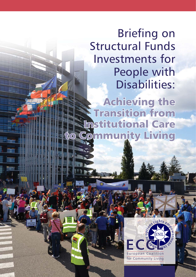Briefing on Structural Funds Investments for People with Disabilities:

**Achieving the Transition from ransition Istitutional Care to Community Living o Living** 

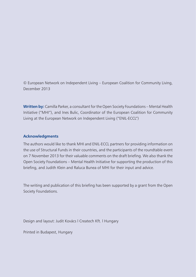© European Network on Independent Living – European Coalition for Community Living, December 2013

**Written by:** Camilla Parker, a consultant for the Open Society Foundations – Mental Health Initiative ("MHI"), and Ines Bulic, Coordinator of the European Coalition for Community Living at the European Network on Independent Living ("ENIL-ECCL")

### **Acknowledgments**

The authors would like to thank MHI and ENIL-ECCL partners for providing information on the use of Structural Funds in their countries, and the participants of the roundtable event on 7 November 2013 for their valuable comments on the draft briefing. We also thank the Open Society Foundations – Mental Health Initiative for supporting the production of this briefing, and Judith Klein and Raluca Bunea of MHI for their input and advice.

The writing and publication of this briefing has been supported by a grant from the Open Society Foundations.

Design and layout: Judit Kovács l Createch Kft. l Hungary

Printed in Budapest, Hungary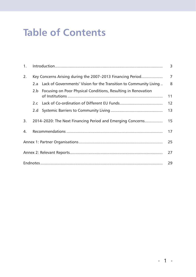# **Table of Contents**

| 1 <sub>1</sub> |  |                                                                        | $\overline{3}$ |
|----------------|--|------------------------------------------------------------------------|----------------|
| 2.             |  | Key Concerns Arising during the 2007–2013 Financing Period             | $\overline{7}$ |
|                |  | 2.a Lack of Governments' Vision for the Transition to Community Living | 8              |
|                |  | 2.b Focusing on Poor Physical Conditions, Resulting in Renovation      | 11             |
|                |  |                                                                        | 12             |
|                |  |                                                                        | 13             |
| 3.             |  | 2014–2020: The Next Financing Period and Emerging Concerns             | 15             |
| 4.             |  |                                                                        | 17             |
|                |  |                                                                        | 25             |
|                |  |                                                                        | 27             |
|                |  |                                                                        | 29             |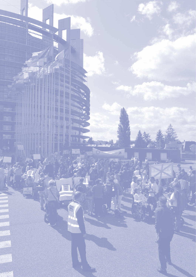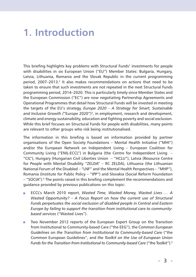# **1. Introduction**

This briefing highlights key problems with Structural Funds<sup>1</sup> investments for people with disabilities in six European Union ("EU") Member States: Bulgaria, Hungary, Latvia, Lithuania, Romania and the Slovak Republic in the current programming period, 2007–2013.<sup>2</sup> It also makes recommendations on actions that need to be taken to ensure that such investments are not repeated in the next Structural Funds programming period, 2014–2020. This is particularly timely since Member States and the European Commission ("EC") are now negotiating Partnership Agreements and Operational Programmes that detail how Structural Funds will be invested in meeting the targets of the EU's strategy, *Europe 2020 – A Strategy for Smart, Sustainable*  and Inclusive Growth ("Europe 2020")<sup>3</sup>, in employment, research and development, climate and energy sustainability, education and fighting poverty and social exclusion. While this brief focuses on Structural Funds for people with disabilities, many points are relevant to other groups who risk being institutionalised.

The information in this briefing is based on information provided by partner organisations of the Open Society Foundations – Mental Health Initiative ("MHI") and/or the European Network on Independent Living – European Coalition for Community Living ("ENIL-ECCL") in Bulgaria (the Centre for Independent Living – "CIL"), Hungary (Hungarian Civil Liberties Union – "HCLU"), Latvia (Resource Centre for People with Mental Disability "ZELDA" – RC ZELDA), Lithuania (the Lithuanian National Forum of the Disabled – "LNF" and the Mental Health Perspectives – "MHP"), Romania (Institute for Public Policy – "IPP") and Slovakia (Social Reform Foundation – "SOCIA").4 The points raised in this briefing complement the recommendations and guidance provided by previous publications on this topic:

- ECCL's March 2010 report, Wasted Time, Wasted Money, Wasted Lives ... A *Wasted Opportunity? – A Focus Report on how the current use of Structural Funds perpetuates the social exclusion of disabled people in Central and Eastern Europe by failing to support the transition from institutional care to communitybased services* ("Wasted Lives").
- Two November 2012 reports of the European Expert Group on the Transition from Institutional to Community-based Care ("the EEG"), the *Common European Guidelines on the Transition from Institutional to Community-based Care* ("the Common European Guidelines", and *the Toolkit on the Use of European Union Funds for the Transition from Institutional to Community-based Care ("the Toolkit").*<sup>5</sup>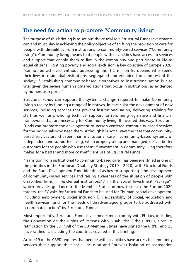## **The need for action to promote "Community living"**

The purpose of this briefing is to set out the crucial role Structural Funds investments can and must play in achieving the policy objective of shifting the provision of care for people with disabilities from institutions to community-based services ("Community living"). Community living means that people with disabilities have access to services and support that enable them to live in the community and participate in life as equal citizens. Fighting poverty and social exclusion, a key objective of Europe 2020, "cannot be achieved without addressing the 1.2 million Europeans who spend their lives in residential institutions, segregated and excluded from the rest of the society".<sup>6</sup> Establishing community-based alternatives to institutionalisation is also vital given the severe human rights violations that occur in institutions, as evidenced by numerous reports.<sup>7</sup>

Structural Funds can support the systemic change required to make Community living a reality by funding a range of initiatives, in particular the development of new services, including services that prevent institutionalisation, delivering training for staff, as well as providing technical support for reforming legislative and financial frameworks that are necessary for Community living. If invested this way, Structural Funds can promote the development of person-centered community-based services for the individuals who need them. Although it is not always the case that communitybased services are cheaper than institutional care, "community-based systems of independent and supported living, when properly set up and managed, deliver better outcomes for the people who use them".<sup>8</sup> Investment in Community living therefore makes for a better and more cost-efficient use of Structural Funds.

"Transition from institutional to community-based care" has been identified as one of the priorities in the European Disability Strategy 2010 – 2020, with Structural Funds and the Rural Development Fund identified as key to supporting "the development of community-based services and raising awareness of the situation of people with disabilities living in residential institutions".<sup>9</sup> In the Social Investment Package<sup>10</sup>, which provides guidance to the Member States on how to reach the Europe 2020 targets, the EC asks for Structural Funds to be used for "human capital development, including employment, social inclusion [...] accessibility of social, education and health services" and for the needs of disadvantaged groups to be addressed with "coordinated action" by Structural Funds.

Most importantly, Structural Funds investments must comply with EU law, including the Convention on the Rights of Persons with Disabilities ("the CRPD"), since its ratification by the EU.<sup>11</sup> All of the EU Member States have signed the CRPD, and 25 have ratified it, including the countries covered in this briefing.

Article 19 of the CRPD requires that people with disabilities have access to community services that support their social inclusion and "prevent isolation or segregation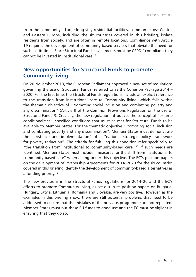from the community". Large long-stay residential facilities, common across Central and Eastern Europe, including the six countries covered in this briefing, isolate residents from society, and are often in remote locations. Compliance with Article 19 requires the development of community-based services that obviate the need for such institutions. Since Structural Funds investments must be CRPD<sup>12</sup> compliant, they cannot be invested in institutional care.13

### **New opportunities for Structural Funds to promote Community living**

On 20 November 2013, the European Parliament approved a new set of regulations governing the use of Structural Funds, referred to as the Cohesion Package 2014 – 2020. For the first time, the Structural Funds regulations include an explicit reference to the transition from institutional care to Community living, which falls within the thematic objective of "Promoting social inclusion and combating poverty and any discrimination" (Article 9 of the Common Provisions Regulation on the use of Structural Funds<sup>14</sup>). Crucially, the new regulation introduces the concept of "ex-ante conditionalities": specified conditions that must be met for Structural Funds to be available to Member States. For the thematic objective "Promoting social inclusion and combating poverty and any discrimination", Member States must demonstrate the "existence and implementation" of a "national strategic policy framework for poverty reduction". The criteria for fulfilling this condition refer specifically to "the transition from institutional to community-based care".15 If such needs are identified, Member States must include "measures for the shift from institutional to community-based care" when acting under this objective. The EC's position papers on the development of Partnership Agreements for 2014–2020 for the six countries covered in this briefing identify the development of community-based alternatives as a funding priority.16

The new provisions in the Structural Funds regulations for 2014–20 and the EC's efforts to promote Community living, as set out in its position papers on Bulgaria, Hungary, Latvia, Lithuania, Romania and Slovakia, are very positive. However, as the examples in this briefing show, there are still potential problems that need to be addressed to ensure that the mistakes of the previous programme are not repeated. Member States must put these EU funds to good use and the EC must be vigilant in ensuring that they do so.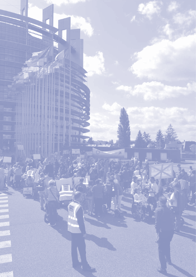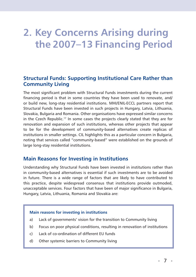# **2. Key Concerns Arising during the 2007–13 Financing Period**

## **Structural Funds: Supporting Institutional Care Rather than Community Living**

The most significant problem with Structural Funds investments during the current financing period is that in some countries they have been used to renovate, and/ or build new, long-stay residential institutions. MHI/ENIL-ECCL partners report that Structural Funds have been invested in such projects in Hungary, Latvia, Lithuania, Slovakia, Bulgaria and Romania. Other organisations have expressed similar concerns in the Czech Republic.17 In some cases the projects clearly stated that they are for renovation and expansion of such institutions, whereas other projects that appear to be for the development of community-based alternatives create replicas of institutions in smaller settings. CIL highlights this as a particular concern in Bulgaria, noting that services called "community-based" were established on the grounds of large long-stay residential institutions.

### **Main Reasons for Investing in Institutions**

Understanding why Structural Funds have been invested in institutions rather than in community-based alternatives is essential if such investments are to be avoided in future. There is a wide range of factors that are likely to have contributed to this practice, despite widespread consensus that institutions provide outmoded, unacceptable services. Four factors that have been of major significance in Bulgaria, Hungary, Latvia, Lithuania, Romania and Slovakia are:

#### **Main reasons for investing in institutions**

- a) Lack of governments' vision for the transition to Community living
- b) Focus on poor physical conditions, resulting in renovation of institutions
- c) Lack of co-ordination of different EU funds
- d) Other systemic barriers to Community living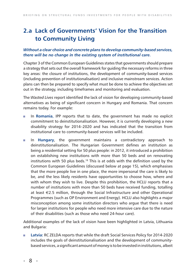## **2.a Lack of Governments' Vision for the Transition to Community Living**

### *Without a clear choice and concrete plans to develop community-based services, there will be no change in the existing system of institutional care.*

Chapter 3 of the Common European Guidelines states that governments should prepare a strategy that sets out the overall framework for guiding the necessary reforms in three key areas: the closure of institutions, the development of community-based services (including prevention of institutionalisation) and inclusive mainstream services. Action plans can then be prepared to specify what must be done to achieve the objectives set out in the strategy, including timeframes and monitoring and evaluation.

The *Wasted Lives* report identified the lack of vision for developing community-based alternatives as being of significant concern in Hungary and Romania. That concern remains today. For example:

- In **Romania**, IPP reports that to date, the government has made no explicit commitment to deinstitutionalisation. However, it is currently developing a new disability strategy for 2014–2020 and has indicated that the transition from institutional care to community-based services will be included.
- In **Hungary**, the government maintains a contradictory approach to deinstitutionalisation. The Hungarian Government defines an institution as being a residential setting for 50 plus people: in 2012, it introduced a prohibition on establishing new institutions with more than 50 beds and on renovating institutions with 50 plus beds.<sup>18</sup> This is at odds with the definition used by the Common European Guidelines (discussed below at page 15), which emphasises that the more people live in one place, the more impersonal the care is likely to be, and the less likely residents have opportunities to choose how, where and with whom they wish to live. Despite this prohibition, the HCLU reports that a number of institutions with more than 50 beds have received funding, totalling at least €2.5 million, through the Social Infrastructure and other Operational Programmes (such as OP Environment and Energy). HCLU also highlights a major misconception among some institution directors who argue that there is need for larger institutions for people who need more intensive care due to the nature of their disabilities (such as those who need 24-hour care).

Additional examples of the lack of vision have been highlighted in Latvia, Lithuania and Bulgaria:

**Latvia:** RC ZELDA reports that while the draft Social Services Policy for 2014-2020  $\overline{\phantom{a}}$ includes the goals of deinstitutionalisation and the development of communitybased services, a significant amount of money is to be invested in institutions, albeit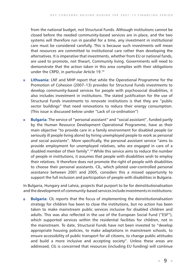from the national budget, not Structural Funds. Although institutions cannot be closed before the needed community-based services are in place, and the two systems will therefore run in parallel for a time, any investment in institutional care must be considered carefully. This is because such investments will mean that resources are committed to institutional care rather than developing the alternatives. It is imperative that investments, whether from EU or national funds, are used to promote, not thwart, Community living. Governments will need to demonstrate that the action taken in this area complies with their obligations under the CRPD, in particular Article 19.19

- **Lithuania:** LNF and MHP report that while the Operational Programme for the  $\overline{\phantom{a}}$ Promotion of Cohesion (2007–13) provides for Structural Funds investments to develop community-based services for people with psychosocial disabilities, it also includes investment in institutions. The stated justification for the use of Structural Funds investments to renovate institutions is that they are "public sector buildings" that need renovations to reduce their energy consumption. (This issue is discussed below under "Lack of co-ordination")
- **Bulgaria:** The service of "personal assistant" and "social assistant", funded partly П by the Human Resource Development Operational Programme, have as their main objective "to provide care in a family environment for disabled people (or seriously ill people living alone) by hiring unemployed people to work as personal and social assistants". More specifically, the personal assistant service "aims to provide employment for unemployed relatives, who are engaged in care of a disabled member of their family".<sup>20</sup> While this service aims to reduce the number of people in institutions, it assumes that people with disabilities wish to employ their relatives. It therefore does not promote the right of people with disabilities to choose their personal assistants. CIL, which piloted user-controlled personal assistance between 2001 and 2005, considers this a missed opportunity to support the full inclusion and participation of people with disabilities in Bulgaria.

In Bulgaria, Hungary and Latvia, projects that purport to be for deinstitutionalisation and the development of community-based services include investments in institutions:

**Bulgaria:** CIL reports that the focus of implementing the deinstitutionalisation  $\overline{\phantom{a}}$ strategy for children has been to close the institutions, but no action has been taken to make mainstream public services inclusive for disabled children and adults. This was also reflected in the use of the European Social Fund ("ESF"), which supported services within the residential facilities for children, not in the mainstream. To date, Structural Funds have not been invested to "develop appropriate housing policies, to make adaptations in mainstream schools, to ensure accessibility of public transport for all citizens, to change public attitudes and build a more inclusive and accepting society". Unless these areas are addressed, CIL is concerned that resources (including EU funding) will continue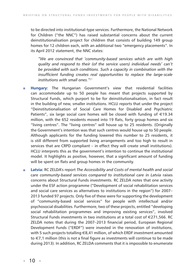to be directed into institutional-type services. Furthermore, the National Network for Children ("the NNC") has raised substantial concerns about the current deinstitutionalisation project for children that consists of building 149 group homes for 12 children each, with an additional two "emergency placements". In its April 2012 statement, the NNC states:

*"We are convinced that 'community-based services which are with high quality and respond to their (of the service users) individual needs' can't be provided with such conditions. Such a capacity in combination with the insufficient funding creates real opportunities to replace the large-scale institutions with small ones."<sup>21</sup>*

- **Hungary:** The Hungarian Government's view that residential facilities  $\overline{\phantom{a}}$ can accommodate up to 50 people has meant that projects supported by Structural Funds, which purport to be for deinstitutionalisation, in fact result in the building of new, smaller institutions. HCLU reports that under the project "Deinstitutionalisation of Social Care Homes for Disabled and Psychiatric Patients", six large social care homes will be closed with funding of  $\epsilon$ 19.34 million, with the 652 residents moved into 19 flats, forty group homes and six "living centres". The "living centres" will house up to 25 residents. (Originally the Government's intention was that such centres would house up to 50 people. Although applicants for the funding lowered this number to 25 residents, it is still different from supported living arrangements and too high to result in services that are CRPD compliant – in effect they will create small institutions). HCLU interprets this as the government's intention to continue the institutional model. It highlights as positive, however, that a significant amount of funding will be spent on flats and group homes in the community.
- **Latvia:** RC ZELDA's report *The Accessibility and Costs of mental health and social*   $\overline{\phantom{a}}$ *care community-based services compared to institutional care in Latvia* raises concerns about Structural Funds investments. RC ZELDA notes that one activity under the ESF action programme ("Development of social rehabilitation services and social care services as alternatives to institutions in the region") for 2007– 2013 funded 97 projects. Only five of these were for supporting the development of "community-based social services" for people with intellectual and/or psychosocial disabilities. Furthermore, two of these projects, entitled "developing social rehabilitation programmes and improving existing services", involved Structural Funds investments in two institutions at a total cost of €271,566. RC ZELDA notes that during the 2007–2013 financial period, European Regional Development Funds ("ERDF") were invested in the renovation of institutions, with 5 such projects totalling €8,41 million, of which ERDF investment amounted to €7,1 million (this is not a final figure as investments will continue to be made during 2013). In addition, RC ZELDA comments that it is impossible to enumerate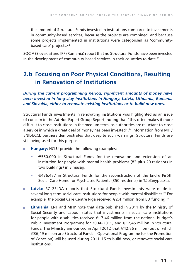the amount of Structural Funds invested in institutions compared to investments in community-based services, because the projects are combined, and because some projects implemented in institutions were categorised as 'communitybased care' projects.<sup>22</sup>

SOCIA (Slovakia) and IPP (Romania) report that no Structural Funds have been invested in the development of community-based services in their countries to date.<sup>23</sup>

## **2.b Focusing on Poor Physical Conditions, Resulting in Renovation of Institutions**

*During the current programming period, significant amounts of money have been invested in long-stay institutions in Hungary, Latvia, Lithuania, Romania and Slovakia, either to renovate existing institutions or to build new ones.* 

Structural Funds investments in renovating institutions was highlighted as an issue of concern in the Ad Hoc Expert Group Report, noting that "this often makes it more difficult to close institutions in the medium term, as authorities are reluctant to close a service in which a great deal of money has been invested".<sup>24</sup> Information from MHI/ ENIL-ECCL partners demonstrates that despite such warnings, Structural Funds are still being used for this purpose:

- **Hungary:** HCLU provide the following examples: п
	- $\bullet$   $\in$  550.000 in Structural Funds for the renovation and extension of an institution for people with mental health problems (82 plus 20 residents in two buildings) in Símaság.
	- $\epsilon$ 436.487 in Structural Funds for the reconstruction of the Endre Piróth Social Care Home for Psychiatric Patients (350 residents) in Táplánypuszta.
- **Latvia:** RC ZELDA reports that Structural Funds investments were made in п several long-term social care institutions for people with mental disabilities.25 For example, the Social Care Centre Riga received  $\in 2,4$  million from EU funding.<sup>26</sup>
- **Lithuania:** LNF and MHP note that data published in 2011 by the Ministry of m. Social Security and Labour states that investments in social care institutions for people with disabilities received  $\epsilon$ 17,46 million from the national budget's Public Investment Programme for 2004–2011, and €12,45 million in Structural Funds. The Ministry announced in April 2012 that  $\in$ 42,86 million (out of which €36,49 million are Structural Funds – Operational Programme for the Promotion of Cohesion) will be used during 2011–15 to build new, or renovate social care institutions.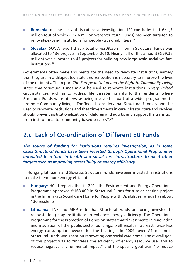- **Romania:** on the basis of its extensive investigation, IPP concludes that  $\in$ 41,3 п million (out of which €27,6 million were Structural Funds) has been targeted to renovate/expand institutions for people with disabilitiess.27
- **Slovakia:** SOCIA report that a total of €209,36 million in Structural Funds was m. allocated to 136 projects in September 2010. Nearly half of this amount (€99,36 million) was allocated to 47 projects for building new large-scale social welfare institutions.<sup>28</sup>

Governments often make arguments for the need to renovate institutions, namely that they are in a dilapidated state and renovation is necessary to improve the lives of the residents. The report *The European Union and the Right to Community Living*  states that Structural Funds might be used to renovate institutions in *very limited* circumstances, such as to address life threatening risks to the residents, where Structural Funds were otherwise being invested as part of a wider programme to promote Community living.<sup>29</sup> The Toolkit considers that Structural Funds cannot be used to renovate institutions and that "investments in care infrastructure and services should prevent institutionalization of children and adults, and support the transition from institutional to community-based services".30

## **2.c Lack of Co-ordination of Different EU Funds**

*The source of funding for institutions requires investigation, as in some cases Structural Funds have been invested through Operational Programmes unrelated to reform in health and social care infrastructure, to meet other targets such as improving accessibility or energy efficiency.* 

In Hungary, Lithuania and Slovakia, Structural Funds have been invested in institutions to make them more energy efficient.

- **Hungary:** HCLU reports that in 2011 the Environment and Energy Operational m. Programme approved €168.000 in Structural Funds for a solar heating project in the Imre Takács Social Care Home for People with Disabilities, which has about 130 residents.
- **Lithuania:** LNF and MHP note that Structural Funds are being invested to п renovate long stay institutions to enhance energy efficiency. The Operational Programme for the Promotion of Cohesion states that "investments in renovation and insulation of the public sector buildings…will result in at least twice less energy consumption needed for the heating". In 2009, over €1 million in Structural Funds was spent on renovating one social care home. The overall goal of this project was to "increase the efficiency of energy resource use, and to reduce negative environmental impact" and the specific goal was "to reduce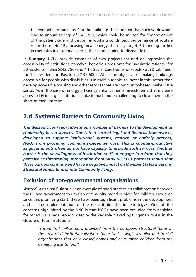the energetic resource use" in the buildings. It estimated that such work would lead to annual savings of  $\in$ 41,200, which could be utilised for "improvement of the patient care and personnel working conditions, performance of routine renovations, etc." By focusing on an energy efficiency target, EU funding further perpetuates institutional care, rather than helping to dismantle it.

In **Hungary**, HCLU provide examples of two projects focused on improving the accessibility of institutions, namely "The Social Care Home for Psychiatric Patients" for 80 residents in Baja (€42.750) and "The Social Care Home for People with Disabilities" for 102 residents in Pásztori (€135.600). While the objective of making buildings accessible for people with disabilities is in itself laudable, to invest in this, rather than develop accessible housing and other services that are community-based, makes little sense. As in the case of energy efficiency enhancements, investments that increase accessibility in large institutions make it much more challenging to close them in the short to medium term.

## **2.d Systemic Barriers to Community Living**

*The Wasted Lives report identified a number of barriers to the development of community-based services. One is that current legal and financial frameworks, developed to support institutional systems, restrict, or entirely prevent, NGOs from providing community-based services. This is counter-productive as governments often do not have capacity to provide such services. Another barrier is the unwillingness of institution staff to engage in reform that they perceive as threatening. Information from MHI/ENIL-ECCL partners shows that these barriers continue and have a negative impact on Member States investing Structural Funds to promote Community living.* 

## **Exclusion of non-governmental organisations**

*Wasted Lives* cited **Bulgaria** as an example of good practice on collaboration between the EC and government to develop community-based services for children. However, since this promising start, there have been significant problems in the development and in the implementation of the deinstitutionalisation strategy. $31$  One of the concerns highlighted by the NNC is that NGOs have been excluded from applying for Structural Funds projects despite the key role played by Bulgarian NGOs in the closure of four institutions:

*"[f]rom 107 million euro provided from the European structural funds in the area of deinstitutionalization, there isn't a single lev allocated to civil organizations that have closed homes and have taken children from the damaging institutions".*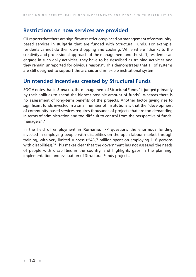## **Restrictions on how services are provided**

CIL reports that there are significant restrictions placed on management of communitybased services in **Bulgaria** that are funded with Structural Funds. For example, residents cannot do their own shopping and cooking. While where "thanks to the creativity and professional approach of the management and the staff, residents can engage in such daily activities, they have to be described as training activities and they remain unreported for obvious reasons". This demonstrates that all of systems are still designed to support the archaic and inflexible institutional system.

## **Unintended incentives created by Structural Funds**

SOCIA notes that in **Slovakia**, the management of Structural Funds "is judged primarily by their abilities to spend the highest possible amount of funds", whereas there is no assessment of long-term benefits of the projects. Another factor giving rise to significant funds invested in a small number of institutions is that the "development of community-based services requires thousands of projects that are too demanding in terms of administration and too difficult to control from the perspective of funds' managers".<sup>32</sup>

In the field of employment in **Romania**, IPP questions the enormous funding invested in employing people with disabilities on the open labour market through training, with very limited success (€43,7 million spent on employing 116 persons with disabilities).<sup>33</sup> This makes clear that the government has not assessed the needs of people with disabilities in the country, and highlights gaps in the planning, implementation and evaluation of Structural Funds projects.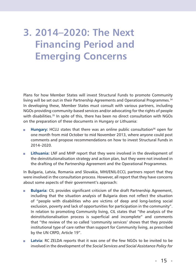# **3. 2014–2020: The Next Financing Period and Emerging Concerns**

Plans for how Member States will invest Structural Funds to promote Community living will be set out in their Partnership Agreements and Operational Programmes.<sup>34</sup> In developing these, Member States must consult with various partners, including NGOs providing community-based services and/or advocating for the rights of people with disabilities.<sup>35</sup> In spite of this, there has been no direct consultation with NGOs on the preparation of these documents in Hungary or Lithuania:

- Hungary: HCLU states that there was an online public consultation<sup>36</sup> open for П one month from mid October to mid November 2013, where anyone could post comments and propose recommendations on how to invest Structural Funds in 2014–2020.
- **Lithuania:** LNF and MHP report that they were involved in the development of  $\mathbf{r}$ the deinstitutionalisation strategy and action plan, but they were not involved in the drafting of the Partnership Agreement and the Operational Programmes.

In Bulgaria, Latvia, Romania and Slovakia, MHI/ENIL-ECCL partners report that they were involved in the consultation process. However, all report that they have concerns about some aspects of their government's approach:

- **Bulgaria:** CIL provides significant criticism of the draft Partnership Agreement, п including that the situation analysis of Bulgaria does not reflect the situation of "people with disabilities who are victims of deep and long-lasting social exclusion, poverty and lack of opportunities for participation in the community". In relation to promoting Community living, CIL states that "the analysis of the deinstitutionalisation process is superficial and incomplete" and comments that "the review of the so called 'community services' shows that they provide institutional type of care rather than support for Community living, as prescribed by the UN CRPD, Article 19".
- **Latvia:** RC ZELDA reports that it was one of the few NGOs to be invited to be п involved in the development of the *Social Services and Social Assistance Policy for*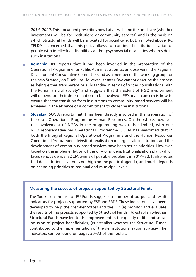*2014–2020*. This document prescribes how Latvia will fund its social care (whether investments will be for institutions or community services) and is the basis on which Structural Funds will be allocated for social care. But, as noted above, RC ZELDA is concerned that this policy allows for continued institutionalisation of people with intellectual disabilities and/or psychosocial disabilities who reside in such institutions.

- **Romania:** IPP reports that it has been involved in the preparation of the  $\overline{\phantom{a}}$ Operational Programme for Public Administration, as an observer in the Regional Development Consultative Committee and as a member of the working group for the new Strategy on Disability. However, it states "we cannot describe the process as being either transparent or substantive in terms of wider consultations with the Romanian civil society" and suggests that the extent of NGO involvement will depend on their determination to be involved. IPP's main concern is how to ensure that the transition from institutions to community-based services will be achieved in the absence of a commitment to close the institutions.
- **Slovakia:** SOCIA reports that it has been directly involved in the preparation of  $\overline{\phantom{a}}$ the draft Operational Programme Human Resources. On the whole, however, the involvement of NGOs in the programming was rather limited, with one NGO representative per Operational Programme. SOCIA has welcomed that in both the Integral Regional Operational Programme and the Human Resources Operational Programme, deinstitutionalisation of large-scale institutions and the development of community-based services have been set as priorities. However, based on the implementation of the on-going deinstitutionalisation plan, which faces serious delays, SOCIA warns of possible problems in 2014–20. It also notes that deinstitutionalisation is not high on the political agenda, and much depends on changing priorities at regional and municipal levels.

#### **Measuring the success of projects supported by Structural Funds**

The Toolkit on the use of EU Funds suggests a number of output and result indicators for projects supported by ESF and ERDF. These indicators have been developed to help the Member States and the EC: (a) monitor and evaluate the results of the projects supported by Structural Funds, (b) establish whether Structural Funds have led to the improvement in the quality of life and social inclusion of project beneficiaries, (c) establish whether the Structural Funds contributed to the implementation of the deinstitutionalisation strategy. The indicators can be found on pages 30–33 of the Toolkit.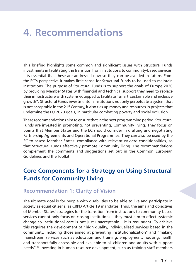# **4. Recommendations**

This briefing highlights some common and significant issues with Structural Funds investments in facilitating the transition from institutions to community-based services. It is essential that these are addressed now so they can be avoided in future. From the EC's perspective it makes little sense for Structural Funds to be used to maintain institutions. The purpose of Structural Funds is to support the goals of Europe 2020 by providing Member States with financial and technical support they need to replace their infrastructure with systems equipped to facilitate "smart, sustainable and inclusive growth". Structural Funds investments in institutions not only perpetuate a system that is not acceptable in the 21<sup>st</sup> Century, it also ties up money and resources in projects that undermine the EU 2020 goals, in particular combating poverty and social exclusion.

These recommendations aim to ensure that in the next programming period, Structural Funds are invested in promoting, not preventing, Community living. They focus on points that Member States and the EC should consider in drafting and negotiating Partnership Agreements and Operational Programmes. They can also be used by the EC to assess Member States' compliance with relevant *ex-ante* conditionalities, so that Structural Funds effectively promote Community living. The recommendations complement the comments and suggestions set out in the Common European Guidelines and the Toolkit.

## **Core Components for a Strategy on Using Structural Funds for Community Living**

## **Recommendation 1: Clarity of Vision**

The ultimate goal is for people with disabilities to be able to live and participate in society as equal citizens, as CRPD Article 19 mandates. Thus, the aims and objectives of Member States' strategies for the transition from institutions to community-based services cannot only focus on closing institutions – they must aim to effect systemic change so institutional care is not just unacceptable – it is redundant. To achieve this requires the development of "high quality, individualised services based in the community, including those aimed at preventing institutionalization" and "making mainstream services such as education and training, employment, housing, health and transport fully accessible and available to all children and adults with support needs".37 Investing in human resource development, such as training staff members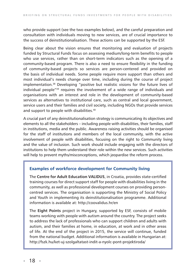who provide support (see the two examples below), and the careful preparation and consultation with individuals moving to new services, are of crucial importance to the success of deinstitutionalisation. These actions can be supported by the ESF.

Being clear about the vision ensures that monitoring and evaluation of projects funded by Structural Funds focus on assessing medium/long-term benefits to people who use services, rather than on short-term indicators such as the opening of a community-based program. There is also a need to ensure flexibility in the funding of community-based projects so services are person-centered and provided on the basis of individual needs. Some people require more support than others and most individual's needs change over time, including during the course of project implementation.38 Developing "positive but realistic visions for the future lives of individual people"39 requires the involvement of a wide range of individuals and organisations with an interest and role in the development of community-based services as alternatives to institutional care, such as central and local government, service users and their families and civil society, including NGOs that provide services and support to people with disabilities.<sup>40</sup>

A crucial part of any deinstitutionalisation strategy is communicating its objectives and elements to all the stakeholders – including people with disabilities, their families, staff in institutions, media and the public. Awareness raising activities should be organised for the staff of institutions and members of the local community, with the active involvement of people with disabilities, focusing on the right to Community living and the value of inclusion. Such work should include engaging with the directors of institutions to help them understand their role within the new services. Such activities will help to prevent myths/misconceptions, which jeopardise the reform process.

### **Examples of workforce development for Community living**

The **Centre for Adult Education VALIDUS**, in Croatia, provides state-certified training courses for direct support staff for people with disabilities living in the community, as well as professional development courses on providing personcentred services. The organisation is supporting the Ministry of Social Policy and Youth in implementing its deinstitutionalisation programme. Additional information is available at: http://coovalidus.hr/en

The **Eight Points** project in Hungary, supported by ESF, consists of mobile teams working with people with autism around the country. The project seeks to address the lack of professionals who can support children and adults with autism, and their families at home, in education, at work and in other areas of life. At the end of the project in 2015, the service will continue, funded from the national budget. Additional information is available in Hungarian at: http://fszk.hu/ket-uj-szolgaltatast-indit-a-nyolc-pont-projektiroda/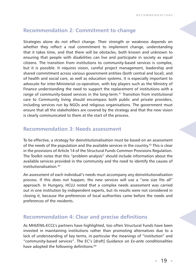## **Recommendation 2: Commitment to change**

Strategies alone do not effect change. Their strength or weakness depends on whether they reflect a real commitment to implement change, understanding that it takes time, and that there will be obstacles, both known and unknown to ensuring that people with disabilities can live and participate in society as equal citizens. The transition from institutions to community-based services is complex, but it is possible. It requires vision, careful project management, leadership and shared commitment across various government entities (both central and local), and of health and social care, as well as education systems. It is especially important to advocate for inter-Ministerial co-operation, with key players such as the Ministry of Finance understanding the need to support the replacement of institutions with a range of community-based services in the long-term.<sup>41</sup> Transition from institutional care to Community living should encompass both public and private providers, including services run by NGOs and religious organisations. The government must ensure that all the stakeholders are covered by the strategy and that the new vision is clearly communicated to them at the start of the process.

### **Recommendation 3: Needs assessment**

To be effective, a strategy for deinstitutionalisation must be based on an assessment of the needs of the population and the available services in the country.<sup>42</sup> This is clear in the provisions of Article 14 of the Structural Funds Common Provisions Regulation. The Toolkit notes that this "problem analysis" should include information about the available services provided in the community and the need to identify the causes of institutionalisation.43

An assessment of each individual's needs must accompany any deinstitutionalisation process. If this does not happen, the new services will use a "one size fits all" approach. In Hungary, HCLU noted that a complex needs assessment was carried out in one institution by independent experts, but its results were not considered in closing it, because the preferences of local authorities came before the needs and preferences of the residents.

## **Recommendation 4: Clear and precise definitions**

As MHI/ENIL-ECCL's partners have highlighted, too often Structural Funds have been invested in maintaining institutions rather than promoting alternatives due to a lack of understanding of key terms, in particular the meanings of "institution" and "community-based services". The EC's [draft] *Guidance on Ex-ante conditionalities* have adopted the following definitions:<sup>44</sup>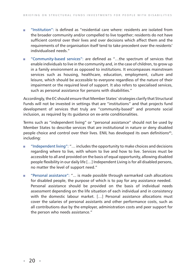- "Institution": is defined as "residential care where: residents are isolated from п the broader community and/or compelled to live together; residents do not have sufficient control over their lives and over decisions which affect them and the requirements of the organisation itself tend to take precedent over the residents' individualised needs."
- "Community-based services": are defined as "…the spectrum of services that  $\overline{\phantom{a}}$ enable individuals to live in the community and, in the case of children, to grow up in a family environment as opposed to institutions. It encompasses mainstream services such as housing, healthcare, education, employment, culture and leisure, which should be accessible to everyone regardless of the nature of their impairment or the required level of support. It also refers to specialised services, such as personal assistance for persons with disabilities."

Accordingly, the EC should ensure that Member States' strategies clarify that Structural Funds will not be invested in settings that are "institutions" and that projects fund development of services that truly are "community-based" and promote social inclusion, as required by its guidance on ex-ante conditionalities.

Terms such as "independent living" or "personal assistance" should not be used by Member States to describe services that are institutional in nature or deny disabled people choice and control over their lives. ENIL has developed its own definitions<sup>45</sup>, including:

- "Independent living": "… includes the opportunity to make choices and decisions  $\mathcal{C}^{\mathcal{A}}$ regarding where to live, with whom to live and how to live. Services must be accessible to all and provided on the basis of equal opportunity, allowing disabled people flexibility in our daily life […] Independent Living is for all disabled persons, no matter the level of support need."
- "Personal assistance": "... is made possible through earmarked cash allocations **The State** for disabled people, the purpose of which is to pay for any assistance needed. Personal assistance should be provided on the basis of individual needs assessment depending on the life situation of each individual and in consistency with the domestic labour market. […] Personal assistance allocations must cover the salaries of personal assistants and other performance costs, such as all contributions due by the employer, administration costs and peer support for the person who needs assistance."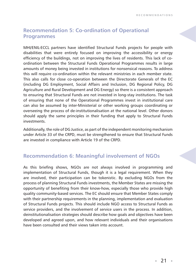## **Recommendation 5: Co-ordination of Operational Programmes**

MHI/ENIL-ECCL partners have identified Structural Funds projects for people with disabilities that were entirely focused on improving the accessibility or energy efficiency of the buildings, not on improving the lives of residents. This lack of coordination between the Structural Funds Operational Programmes results in large amounts of money being invested in institutions for nonsensical reasons. To address this will require co-ordination within the relevant ministries in each member state. This also calls for close co-operation between the Directorate Generals of the EC (including DG Employment, Social Affairs and Inclusion, DG Regional Policy, DG Agriculture and Rural Development and DG Energy) so there is a consistent approach to ensuring that Structural Funds are not invested in long-stay institutions. The task of ensuring that none of the Operational Programmes invest in institutional care can also be assumed by inter-Ministerial or other working groups coordinating or overseeing the process of de-institutionalisation at the national level. Other donors should apply the same principles in their funding that apply to Structural Funds investments.

Additionally, the role of DG Justice, as part of the independent monitoring mechanism under Article 33 of the CRPD, must be strengthened to ensure that Structural Funds are invested in compliance with Article 19 of the CRPD.

## **Recommendation 6: Meaningful involvement of NGOs**

As this briefing shows, NGOs are not always involved in programming and implementation of Structural Funds, though it is a legal requirement. When they are involved, their participation can be tokenistic. By excluding NGOs from the process of planning Structural Funds investments, the Member States are missing the opportunity of benefiting from their know-how, especially those who provide high quality community-based services. The EC should ensure that Member States comply with their partnership requirements in the planning, implementation and evaluation of Structural Funds projects. This should include NGO access to Structural Funds as service providers, and the involvement of service users in the process. In addition, deinstitutionalisation strategies should describe how goals and objectives have been developed and agreed upon, and how relevant individuals and their organisations have been consulted and their views taken into account.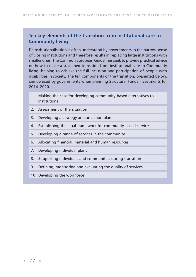### **Ten key elements of the transition from institutional care to Community living**

Deinstitutionalisation is often understood by governments in the narrow sense of closing institutions and therefore results in replacing large institutions with smaller ones. The Common European Guidelines seek to provide practical advice on how to make a sustained transition from institutional care to Community living, helping to achieve the full inclusion and participation of people with disabilities in society. The ten components of the transition, presented below, can be used by governments when planning Structural Funds investments for 2014–2020.

- 1. Making the case for developing community-based alternatives to institutions
- 2. Assessment of the situation
- 3. Developing a strategy and an action plan
- 4. Establishing the legal framework for community-based services
- 5. Developing a range of services in the community
- 6. Allocating financial, material and human resources
- 7. Developing individual plans
- 8. Supporting individuals and communities during transition
- 9. Defining, monitoring and evaluating the quality of services
- 10. Developing the workforce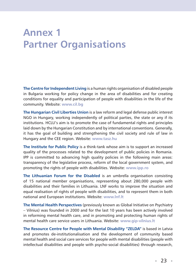# **Annex 1 Partner Organisations**

**The Centre for Independent Living** is a human rights organisation of disabled people in Bulgaria working for policy change in the area of disabilities and for creating conditions for equality and participation of people with disabilities in the life of the community. Website: **www.cil.bg**

**The Hungarian Civil Liberties Union** is a law reform and legal defense public interest NGO in Hungary, working independently of political parties, the state or any if its institutions. HCLU's aim is to promote the case of fundamental rights and principles laid down by the Hungarian Constitution and by international conventions. Generally, it has the goal of building and strengthening the civil society and rule of law in Hungary and the CEE region. Website: **www.tasz.hu**

**The Institute for Public Policy** is a think-tank whose aim is to support an increased quality of the processes related to the development of public policies in Romania. IPP is committed to advancing high quality policies in the following main areas: transparency of the legislative process, reform of the local government system, and promoting the rights of people with disabilities. Website: **www.ipp.ro**

**The Lithuanian Forum for the Disabled** is an umbrella organisation consisting of 15 national member organisations, representing about 280,000 people with disabilities and their families in Lithuania. LNF works to improve the situation and equal realisation of rights of people with disabilities, and to represent them in both national and European institutions. Website: **www.lnf.lt**

**The Mental Health Perspectives** (previously known as Global Initiative on Psychiatry – Vilnius) was founded in 2000 and for the last 10 years has been actively involved in reforming mental health care, and in promoting and protecting human rights of mental health care service users in Lithuania. Website: **www.gip-vilnius.lt**

**The Resource Centre for People with Mental Disability "ZELDA"** is based in Latvia and promotes de-institutionalisation and the development of community based mental health and social care services for people with mental disabilities (people with intellectual disabilities and people with psycho-social disabilities) through research,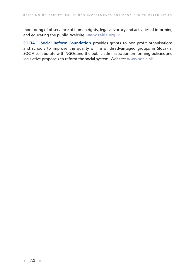monitoring of observance of human rights, legal advocacy and activities of informing and educating the public. Website: **www.zelda.org.lv**

**SOCIA – Social Reform Foundation** provides grants to non-profit organisations and schools to improve the quality of life of disadvantaged groups in Slovakia. SOCIA collaborate with NGOs and the public administration on forming policies and legislative proposals to reform the social system. Website: **www.socia.sk**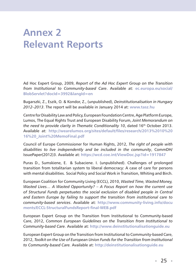# **Annex 2 Relevant Reports**

Ad Hoc Expert Group, 2009, *Report of the Ad Hoc Expert Group on the Transition from Institutional to Community-based Care*. Available at: **ec.europa.eu/social/ BlobServlet?docId=3992&langId=en**

Bugarszki, Z., Eszik, O. & Kondor, Z., (unpublished), *Deinstitutionalisation in Hungary 2012–2013*. The report will be available in January 2014 at: **www.tasz.hu**

Centre for Disability Law and Policy, European Foundation Centre, Age Platform Europe, Lumos, The Equal Rights Trust and European Disability Forum, *Joint Memorandum on the need to provide clarity in Thematic Conditionality 10*, dated 16th October 2013. Available at: **http://wearelumos.org/sites/default/files/research/2013%2010%20 16%20\_Joint%20MemoFinal.pdf** 

Council of Europe Commissioner for Human Rights, 2012, *The right of people with disabilities to live independently and be included in the community*, CommDH/ IssuePaper(2012)3. Available at: **https://wcd.coe.int/ViewDoc.jsp?id=1917847**

Puras D., Sumskiene, E. & Subaciene. I. (unpublished). Challenges of prolonged transition from totalitarian system to liberal democracy: A case of care for persons with mental disabilities. Social Policy and Social Work in Transition, Whiting and Birch.

European Coalition for Community Living (ECCL), 2010, *Wasted Time, Wasted Money, Wasted Lives… A Wasted Opportunity? – A Focus Report on how the current use of Structural Funds perpetuates the social exclusion of disabled people in Central and Eastern Europe by failing to support the transition from institutional care to community-based services*. Available at: **http://www.community-living.info/docu ments/ECCL-StructuralFundsReport-final-WEB.pdf**

European Expert Group on the Transition from Institutional to Community-based Care, 2012, *Common European Guidelines on the Transition from Institutional to Community-based Care.* Available at: **http://www.deinstitutionalisationguide.eu**

European Expert Group on the Transition from Institutional to Community-based Care, 2012, *Toolkit on the Use of European Union Funds for the Transition from Institutional to Community-based Care.* Available at: **http://deinstitutionalisationguide.eu**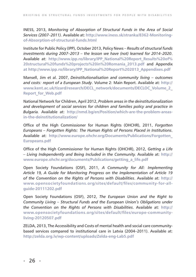INESS, 2013, *Monitoring of Absorption of Structural Funds in the Area of Social Services (2007–2011).* Available at: **http://www.iness.sk/stranka/8362-Monitoringof-Absorption-of-structural-funds.html** 

Institute for Public Policy (IPP), October 2013, Policy News – *Results of structural funds investments during 2007–2013 – the lesson we have (not) learned for 2014–2020*. Available at: **http://www.ipp.ro/library/IPP\_National%20Report\_Results%20of% 20structural%20funds%20projects%20in%20Romania\_2013.pdf** and Appendix **at http://www.ipp.ro/library/IPP\_National%20Report%202013\_Appendixes.pdf**

Mansell, Jim et al. 2007, *Deinstitutionalisation and community living – outcomes and costs: report of a European Study*. Volume 2: Main Report. Available at: **http:// www.kent.ac.uk/tizard/research/DECL\_network/documents/DECLOC\_Volume\_2\_ Report\_for\_Web.pdf**

National Network for Children, April 2012, *Problem areas in the deinstitutionalization and development of social services for children and families policy and practice in Bulgaria.* Available at: **http://nmd.bg/en/Position/which-are-the-problem-areasin-the-deinstitutionalization/**

Office of the High Commissioner for Human Rights (OHCHR), 2011, *Forgotten Europeans – Forgotten Rights: The Human Rights of Persons Placed in Institutions*. Available at: **http://www.europe.ohchr.org/Documents/Publications/Forgotten\_ Europeans.pdf**

Office of the High Commissioner for Human Rights (OHCHR), 2012, *Getting a Life – Living Independently and Being Included in the Community.* Available at: **http:// www.europe.ohchr.org/documents/Publications/getting\_a\_life.pdf**

Open Society Foundations (OSF), 2011, *A Community for All: Implementing Article 19, A Guide for Monitoring Progress on the Implementation of Article 19 of the Convention on the Rights of Persons with Disabilities*. Available at: **http:// www.opensocietyfoundations.org/sites/default/files/community-for-allguide-20111202.pdf**

Open Society Foundations (OSF), 2012, *The European Union and the Right to Community Living – Structural Funds and the European Union's Obligations under the Convention on the Rights of Persons with Disabilities*. Available at: **http:// www.opensocietyfoundations.org/sites/default/files/europe-communityliving-20120507.pdf**

ZELDA, 2013, The Accessibility and Costs of mental health and social care communitybased services compared to institutional care in Latvia (2004–2011). Available at: **http://zelda.org.lv/wp-content/uploads/Zelda-eng-Lab5.pdf**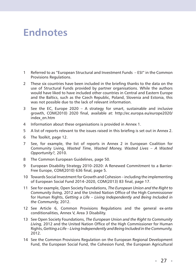# **Endnotes**

- 1 Referred to as "European Structural and Investment Funds ESI" in the Common Provisions Regulations.
- 2 These six countries have been included in the briefing thanks to the data on the use of Structural Funds provided by partner organisations. While the authors would have liked to have included other countries in Central and Eastern Europe and the Baltics, such as the Czech Republic, Poland, Slovenia and Estonia, this was not possible due to the lack of relevant information.
- 3 See the EC, Europe 2020 A strategy for smart, sustainable and inclusive growth, COM(2010) 2020 final, available at: http://ec.europa.eu/europe2020/ index\_en.htm
- 4 Information about these organisations is provided in Annex 1.
- 5 A list of reports relevant to the issues raised in this briefing is set out in Annex 2.
- 6 The Toolkit, page 12.
- 7 See, for example, the list of reports in Annex 2 in European Coalition for Community Living, *Wasted Time, Wasted Money, Wasted Lives – A Wasted Opportunity?,* 2010.
- 8 The Common European Guidelines, page 50.
- 9 European Disability Strategy 2010–2020: A Renewed Commitment to a Barrier-Free Europe, COM(2010) 636 final, page 5.
- 10 Towards Social Investment for Growth and Cohesion including the implementing of European Social Fund 2014–2020, COM(2013) 83 final, page 17.
- 11 See for example, Open Society Foundations, *The European Union and the Right to Community living,* 2012 and the United Nation Office of the High Commissioner for Human Rights, *Getting a Life – Living Independently and Being Included in the Community,* 2012.
- 12 See Article 6, Common Provisions Regulations and the general ex-ante conditionalities, Annex V, Area 3 Disability.
- 13 See Open Society Foundations, *The European Union and the Right to Community Living,* 2012 and the United Nation Office of the High Commissioner for Human Rights, *Getting a Life – Living Independently and Being Included in the Community,*  2012.
- 14 See the Common Provisions Regulation on the European Regional Development Fund, the European Social Fund, the Cohesion Fund, the European Agricultural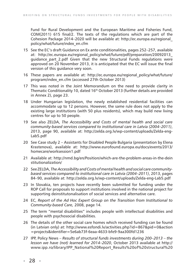Fund for Rural Development and the European Maritime and Fisheries Fund, COM(2011) 615 final/2. The texts of the regulations which are part of the Cohesion Package 2014–2020 will be available at: http://ec.europa.eu/regional\_ policy/what/future/index\_en.cfm

- 15 See the EC's draft Guidance on Ex ante conditionalities, pages 252–257, available at: http://ec.europa.eu/regional\_policy/what/future/pdf/preparation/20092013\_ guidance\_part\_2.pdf Given that the new Structural Funds regulations were approved on 20 November 2013, it is anticipated that the EC will issue the final version of this guidance very soon.
- 16 These papers are available at: http://ec.europa.eu/regional\_policy/what/future/ program/index\_en.cfm (accessed 27th October 2013)
- 17 This was noted in the Joint Memorandum on the need to provide clarity in Thematic Conditionality 10, dated 16th October 2013 (further details are provided in Annex 2), page 23.
- 18 Under Hungarian legislation, the newly established residential facilities can accommodate up to 12 persons. However, the same rule does not apply to the existing large institutions (with 50 plus residents), which may build new living centres for up to 50 people.
- 19 See also ZELDA, *The Accessibility and Costs of mental health and social care community-based services compared to institutional care in Latvia (2004–2011)*, 2013, page 90, available at: http://zelda.org.lv/wp-content/uploads/Zelda-eng-Lab5.pdf
- 20 See Case study 2 Assistants for Disabled People Bulgaria (presentation by Elena Krastenova), available at: http://www.eurofound.europa.eu/docs/events/2013/ homecare/worksession1.pdf
- 21 Available at: http://nmd.bg/en/Position/which-are-the-problem-areas-in-the-dein stitutionalization/
- 22 See ZELDA, *The Accessibility and Costs of mental health and social care communitybased services compared to institutional care in Latvia (2004–2011)*, 2013, pages 84–90, available at: http://zelda.org.lv/wp-content/uploads/Zelda-eng-Lab5.pdf
- 23 In Slovakia, ten projects have recently been submitted for funding under the ROP Call for proposals to support institutions involved in the national project for supporting deinstitutonalisation of social services and alternative care.
- 24 EC, *Report of the Ad Hoc Expert Group on the Transition from Institutional to Community-based Care,* 2008, page 14.
- 25 The term "mental disabilities" includes people with intellectual disabilities and people with psychosocial disabilities.
- 26 The details of the other social care homes which received funding can be found (in Latvian only) at: http://www.esfondi.lv/activities.php?id=867&pid=0&action =projects&identifier=5e6ab73f-6eaa-4633-bfe9-9aa300fd1236
- 27 IPP, Policy News *Results of structural funds investments during 200–2013 the lesson we have (not) learned for 2014–2020*, October 2013 available at http:// www.ipp.ro/library/IPP\_National%20Report\_Results%20of%20structural%20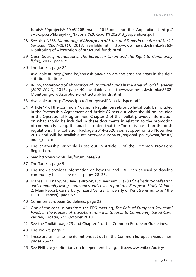funds%20projects%20in%20Romania\_2013.pdf and the Appendix at http:// www.ipp.ro/library/IPP\_National%20Report%202013\_Appendixes.pdf

- 28 See also INESS, *Monitoring of Absorption of Structural Funds in the Area of Social Services (2007–2011),* 2013, available at: http://www.iness.sk/stranka/8362- Monitoring-of-Absorption-of-structural-funds.html
- 29 Open Society Foundations, *The European Union and the Right to Community living,* 2012, page 75.
- 30 The Toolkit, page 24.
- 31 Available at: http://nmd.bg/en/Position/which-are-the-problem-areas-in-the-dein stitutionalization/
- 32 INESS, *Monitoring of Absorption of Structural Funds in the Area of Social Services (2007–2011),* 2013, page 40, available at: http://www.iness.sk/stranka/8362- Monitoring-of-Absorption-of-structural-funds.html
- 33 Available at: http://www.ipp.ro/library/fse/IPPanalizafspcd.pdf
- 34 Article 14 of the Common Provisions Regulation sets out what should be included in the Partnership Agreement and Article 87 sets out what should be included in the Operational Programmes. Chapter 2 of the Toolkit provides information on what should be included in these documents in relation to the promotion of community living. It should be noted that the Toolkit is based on the draft regulations. The Cohesion Package 2014–2020 was adopted on 20 November 2013 and will be available at: http://ec.europa.eu/regional\_policy/what/future/ index\_en.cfm
- 35 The partnership principle is set out in Article 5 of the Common Provisions Regulation.
- 36 See: http://www.nfu.hu/forum\_pate/29
- 37 The Toolkit, page 9.
- 38 The Toolkit provides information on how ESF and ERDF can be used to develop community-based services at pages 28–35.
- 39 Mansell, J., Knapp, M., Beadle-Brown, J., & Beecham, J., (2007) *Deinstitutionalisation and community living – outcomes and costs: report of a European Study. Volume*  2: Main Report. Canterbury: Tizard Centre, University of Kent (referred to as "the DECLOC report), page 52.
- 40 Common European Guidelines, page 22.
- 41 One of the conclusions from the EEG meeting, *The Role of European Structural Funds in the Process of Transition from Institutional to Community-based Care*, Zagreb, Croatia, 24<sup>th</sup> October 2013.
- 42 See the Toolkit, page 23 and Chapter 2 of the Common European Guidelines.
- 43 The Toolkit, page 23.
- 44 These are similar to the definitions set out in the Common European Guidelines, pages 25–27.
- 45 See ENIL's key definitions on Independent Living: http://www.enil.eu/policy/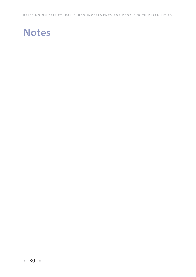## **Notes**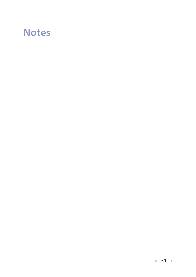## **Notes**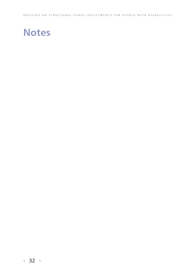## **Notes**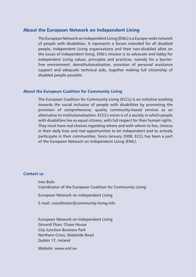### **About the European Network on Independent Living**

The European Network on Independent Living (ENIL) is a Europe-wide network of people with disabilities. It represents a forum intended for all disabled people, Independent Living organisations and their non-disabled allies on the issues of independent living. ENIL's mission is to advocate and lobby for Independent Living values, principles and practices, namely for a barrierfree environment, deinstitutionalisation, provision of personal assistance support and adequate technical aids, together making full citizenship of disabled people possible.

#### **About the European Coalition for Community Living**

The European Coalition for Community Living (ECCL) is an initiative working towards the social inclusion of people with disabilities by promoting the provision of comprehensive, quality community-based services as an alternative to institutionalisation. ECCL's vision is of a society in which people with disabilities live as equal citizens, with full respect for their human rights. They must have real choices regarding where and with whom to live, choices in their daily lives and real opportunities to be independent and to actively participate in their communities. Since January 2008, ECCL has been a part of the European Network on Independent Living (ENIL).

#### **Contact us**

Ines Bulic Coordinator of the European Coalition for Community Living European Network on Independent Living

E-mail: coordinator@community-living.info

European Network on Independent Living Ground Floor, Chase House City Junction Business Park Northern Cross, Malahide Road Dublin 17, Ireland

Website: www.enil.eu